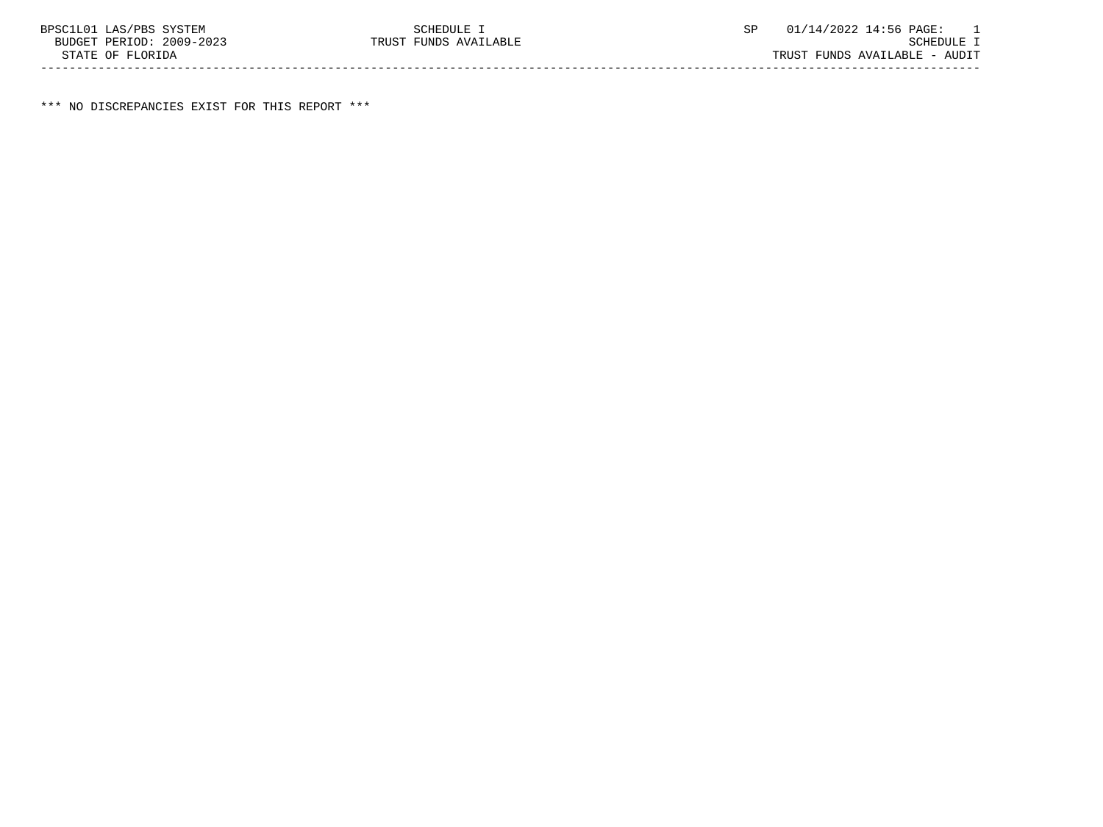\*\*\* NO DISCREPANCIES EXIST FOR THIS REPORT \*\*\*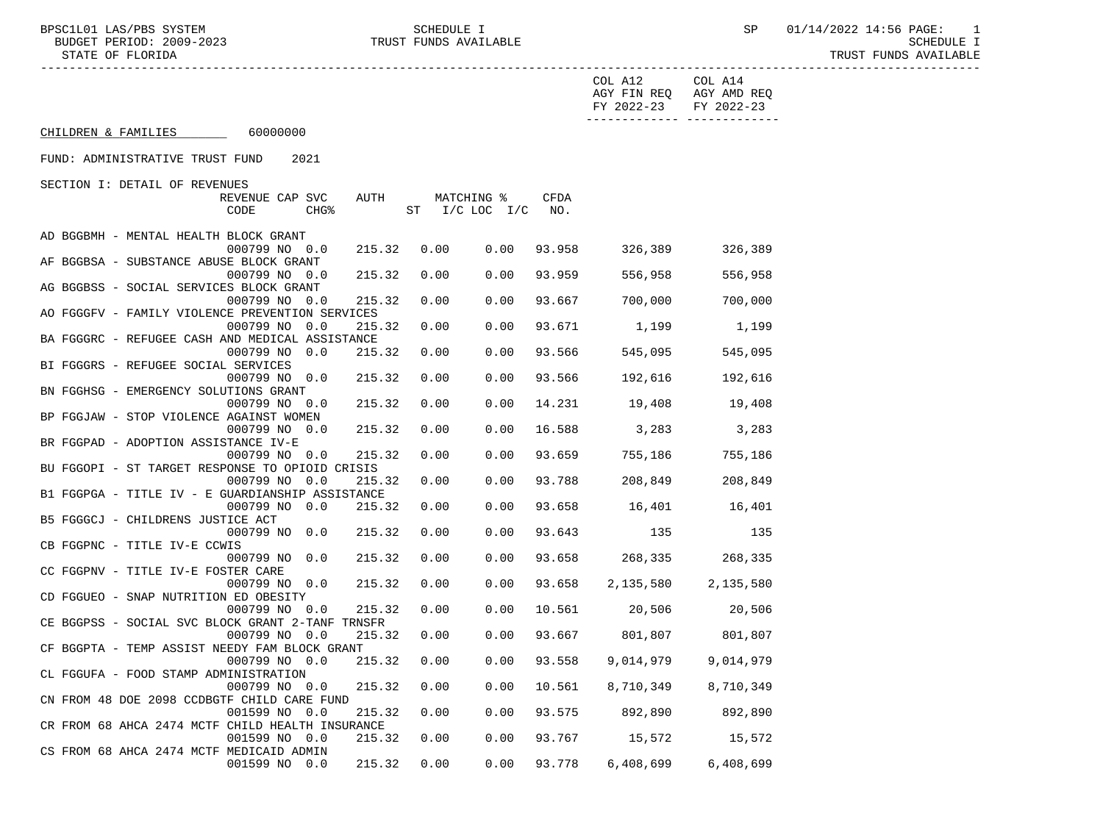BPSC1L01 LAS/PBS SYSTEM SCHEDULE I SCHEDULE I SP 01/14/2022 14:56 PAGE: 1<br>BUDGET PERIOD: 2009–2023 TRUST FUNDS AVAILABLE

|                                                  |                                                           |        |                        |            |        | COL A12<br>FY 2022-23  | COL A14<br>AGY FIN REQ AGY AMD REQ<br>FY 2022-23 |  |
|--------------------------------------------------|-----------------------------------------------------------|--------|------------------------|------------|--------|------------------------|--------------------------------------------------|--|
| CHILDREN & FAMILIES 60000000                     |                                                           |        |                        |            |        |                        |                                                  |  |
| FUND: ADMINISTRATIVE TRUST FUND                  | 2021                                                      |        |                        |            |        |                        |                                                  |  |
| SECTION I: DETAIL OF REVENUES                    |                                                           |        |                        |            |        |                        |                                                  |  |
|                                                  | REVENUE CAP SVC                                           | AUTH   |                        | MATCHING % | CFDA   |                        |                                                  |  |
|                                                  | CHG <sup>8</sup><br>CODE                                  |        | ST $I/C$ LOC $I/C$ NO. |            |        |                        |                                                  |  |
|                                                  |                                                           |        |                        |            |        |                        |                                                  |  |
| AD BGGBMH - MENTAL HEALTH BLOCK GRANT            |                                                           |        |                        |            |        |                        |                                                  |  |
|                                                  | 000799 NO 0.0                                             | 215.32 | 0.00                   | 0.00       | 93.958 | 326,389                | 326,389                                          |  |
| AF BGGBSA - SUBSTANCE ABUSE BLOCK GRANT          |                                                           |        |                        |            |        |                        |                                                  |  |
|                                                  | 000799 NO 0.0                                             | 215.32 | 0.00                   | 0.00       | 93.959 | 556,958                | 556,958                                          |  |
| AG BGGBSS - SOCIAL SERVICES BLOCK GRANT          |                                                           |        |                        |            |        |                        |                                                  |  |
|                                                  | 000799 NO 0.0                                             | 215.32 | 0.00                   | 0.00       | 93.667 | 700,000                | 700,000                                          |  |
| AO FGGGFV - FAMILY VIOLENCE PREVENTION SERVICES  |                                                           |        |                        |            |        |                        |                                                  |  |
|                                                  | 000799 NO 0.0                                             | 215.32 | 0.00                   | 0.00       | 93.671 | 1,199                  | 1,199                                            |  |
| BA FGGGRC - REFUGEE CASH AND MEDICAL ASSISTANCE  |                                                           |        |                        |            |        |                        |                                                  |  |
|                                                  | 000799 NO 0.0                                             | 215.32 | 0.00                   | 0.00       | 93.566 | 545,095                | 545,095                                          |  |
| BI FGGGRS - REFUGEE SOCIAL SERVICES              |                                                           |        |                        |            |        |                        |                                                  |  |
|                                                  | 000799 NO 0.0                                             | 215.32 | 0.00                   | 0.00       | 93.566 | 192,616                | 192,616                                          |  |
| BN FGGHSG - EMERGENCY SOLUTIONS GRANT            |                                                           |        |                        |            |        |                        |                                                  |  |
|                                                  | 000799 NO 0.0                                             | 215.32 | 0.00                   | 0.00       | 14.231 | 19,408                 | 19,408                                           |  |
| BP FGGJAW - STOP VIOLENCE AGAINST WOMEN          |                                                           |        |                        |            |        |                        |                                                  |  |
|                                                  | 000799 NO 0.0                                             | 215.32 | 0.00                   | 0.00       | 16.588 | 3,283                  | 3,283                                            |  |
| BR FGGPAD - ADOPTION ASSISTANCE IV-E             |                                                           | 215.32 | 0.00                   | 0.00       | 93.659 | 755,186                | 755,186                                          |  |
| BU FGGOPI - ST TARGET RESPONSE TO OPIOID CRISIS  | 000799 NO 0.0                                             |        |                        |            |        |                        |                                                  |  |
|                                                  | 000799 NO 0.0                                             | 215.32 | 0.00                   | 0.00       | 93.788 | 208,849                | 208,849                                          |  |
| B1 FGGPGA - TITLE IV - E GUARDIANSHIP ASSISTANCE |                                                           |        |                        |            |        |                        |                                                  |  |
|                                                  | 000799 NO 0.0                                             | 215.32 | 0.00                   | 0.00       | 93.658 | 16,401                 | 16,401                                           |  |
| B5 FGGGCJ - CHILDRENS JUSTICE ACT                |                                                           |        |                        |            |        |                        |                                                  |  |
|                                                  | 000799 NO 0.0                                             | 215.32 | 0.00                   | 0.00       | 93.643 | 135                    | 135                                              |  |
| CB FGGPNC - TITLE IV-E CCWIS                     |                                                           |        |                        |            |        |                        |                                                  |  |
|                                                  | 000799 NO 0.0                                             | 215.32 | 0.00                   | 0.00       | 93.658 | 268,335                | 268,335                                          |  |
| CC FGGPNV - TITLE IV-E FOSTER CARE               |                                                           |        |                        |            |        |                        |                                                  |  |
|                                                  | 000799 NO 0.0                                             | 215.32 | 0.00                   | 0.00       | 93.658 |                        | 2, 135, 580 2, 135, 580                          |  |
| CD FGGUEO - SNAP NUTRITION ED OBESITY            |                                                           |        |                        |            |        |                        |                                                  |  |
|                                                  | 000799 NO 0.0                                             | 215.32 | 0.00                   | 0.00       |        | 10.561 20,506 20,506   |                                                  |  |
| CE BGGPSS - SOCIAL SVC BLOCK GRANT 2-TANF TRNSFR |                                                           |        |                        |            |        |                        |                                                  |  |
|                                                  | 000799 NO 0.0                                             | 215.32 | 0.00                   | 0.00       |        | 93.667 801,807 801,807 |                                                  |  |
| CF BGGPTA - TEMP ASSIST NEEDY FAM BLOCK GRANT    |                                                           |        |                        |            |        |                        |                                                  |  |
|                                                  | 000799 NO 0.0 215.32 0.00 0.00 93.558 9,014,979 9,014,979 |        |                        |            |        |                        |                                                  |  |
| CL FGGUFA - FOOD STAMP ADMINISTRATION            |                                                           |        |                        |            |        |                        |                                                  |  |
|                                                  | 000799 NO 0.0                                             | 215.32 | 0.00                   | 0.00       | 10.561 | 8,710,349              | 8,710,349                                        |  |
| CN FROM 48 DOE 2098 CCDBGTF CHILD CARE FUND      |                                                           |        |                        |            |        |                        |                                                  |  |
|                                                  | 001599 NO 0.0                                             | 215.32 | 0.00                   | 0.00       | 93.575 | 892,890                | 892,890                                          |  |
| CR FROM 68 AHCA 2474 MCTF CHILD HEALTH INSURANCE |                                                           |        |                        |            |        |                        |                                                  |  |
|                                                  | 001599 NO 0.0                                             | 215.32 | 0.00                   | 0.00       | 93.767 | 15,572                 | 15,572                                           |  |
| CS FROM 68 AHCA 2474 MCTF MEDICAID ADMIN         |                                                           |        |                        |            |        |                        |                                                  |  |
|                                                  | 001599 NO 0.0                                             | 215.32 | 0.00                   | 0.00       | 93.778 | 6,408,699              | 6,408,699                                        |  |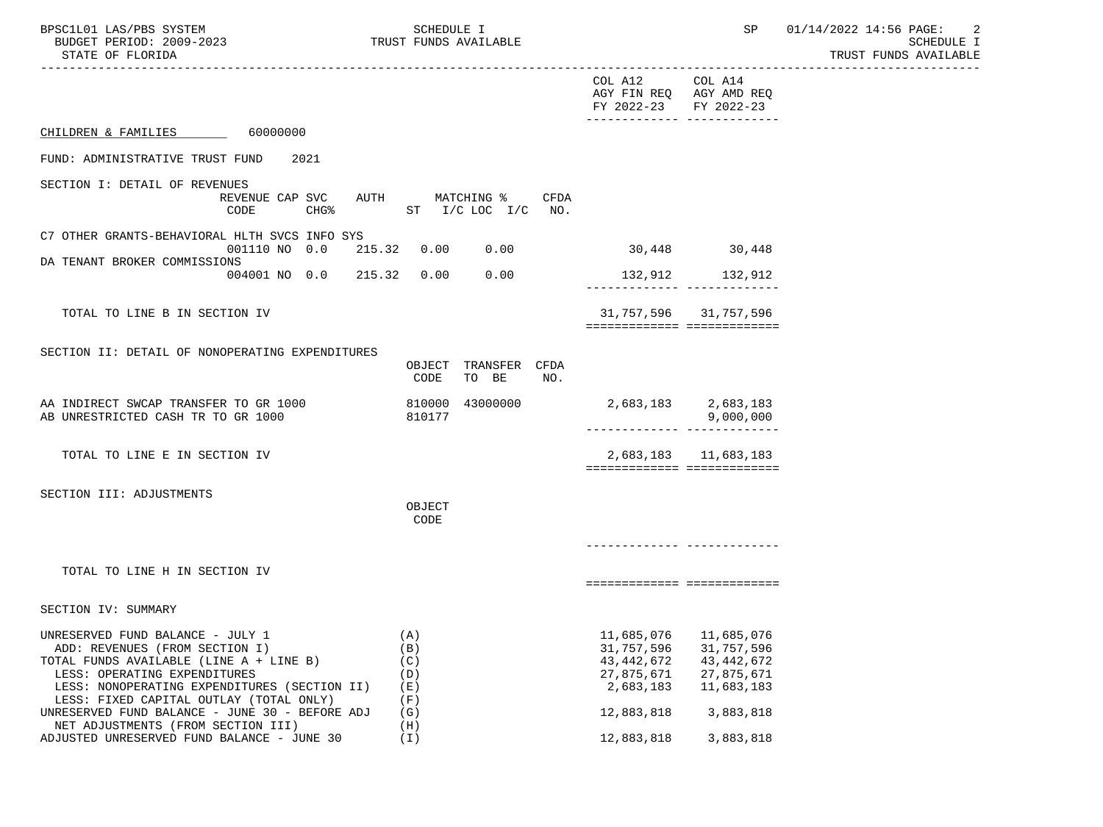| BPSC1L01 LAS/PBS SYSTEM<br>BUDGET PERIOD: 2009-2023<br>STATE OF FLORIDA                                                                                                                                                                                                                    | SCHEDULE I<br>TRUST FUNDS AVAILABLE           |                                                                                   | SP<br>----------------------------------                                          | 01/14/2022 14:56 PAGE:<br>-2<br>SCHEDULE I<br>TRUST FUNDS AVAILABLE |
|--------------------------------------------------------------------------------------------------------------------------------------------------------------------------------------------------------------------------------------------------------------------------------------------|-----------------------------------------------|-----------------------------------------------------------------------------------|-----------------------------------------------------------------------------------|---------------------------------------------------------------------|
|                                                                                                                                                                                                                                                                                            |                                               | COL A12<br>FY 2022-23                                                             | COL A14<br>AGY FIN REQ AGY AMD REQ<br>FY 2022-23<br>-------------- -------------- |                                                                     |
| CHILDREN & FAMILIES 60000000                                                                                                                                                                                                                                                               |                                               |                                                                                   |                                                                                   |                                                                     |
| 2021<br>FUND: ADMINISTRATIVE TRUST FUND                                                                                                                                                                                                                                                    |                                               |                                                                                   |                                                                                   |                                                                     |
| SECTION I: DETAIL OF REVENUES<br>REVENUE CAP SVC<br>$CHG\$<br>CODE                                                                                                                                                                                                                         | AUTH MATCHING %<br>CFDA<br>ST I/C LOC I/C NO. |                                                                                   |                                                                                   |                                                                     |
| C7 OTHER GRANTS-BEHAVIORAL HLTH SVCS INFO SYS<br>001110 NO 0.0 215.32 0.00                                                                                                                                                                                                                 | 0.00                                          |                                                                                   | 30,448 30,448                                                                     |                                                                     |
| DA TENANT BROKER COMMISSIONS<br>004001 NO 0.0 215.32 0.00                                                                                                                                                                                                                                  | 0.00                                          |                                                                                   | 132,912 132,912<br>-------------- --------------                                  |                                                                     |
| TOTAL TO LINE B IN SECTION IV                                                                                                                                                                                                                                                              |                                               |                                                                                   | 31, 757, 596 31, 757, 596<br>===========================                          |                                                                     |
| SECTION II: DETAIL OF NONOPERATING EXPENDITURES                                                                                                                                                                                                                                            | OBJECT TRANSFER CFDA<br>CODE<br>TO BE<br>NO.  |                                                                                   |                                                                                   |                                                                     |
| AA INDIRECT SWCAP TRANSFER TO GR 1000<br>AB UNRESTRICTED CASH TR TO GR 1000                                                                                                                                                                                                                | 810000 43000000<br>810177                     |                                                                                   | 2,683,183 2,683,183<br>9,000,000<br>-------------- --------------                 |                                                                     |
| TOTAL TO LINE E IN SECTION IV                                                                                                                                                                                                                                                              |                                               |                                                                                   | 2,683,183 11,683,183<br>===========================                               |                                                                     |
| SECTION III: ADJUSTMENTS                                                                                                                                                                                                                                                                   | OBJECT<br>CODE                                | ------------- ------------                                                        |                                                                                   |                                                                     |
| TOTAL TO LINE H IN SECTION IV                                                                                                                                                                                                                                                              |                                               |                                                                                   | ============================                                                      |                                                                     |
| SECTION IV: SUMMARY                                                                                                                                                                                                                                                                        |                                               |                                                                                   |                                                                                   |                                                                     |
| UNRESERVED FUND BALANCE - JULY 1<br>ADD: REVENUES (FROM SECTION I)<br>TOTAL FUNDS AVAILABLE (LINE A + LINE B)<br>LESS: OPERATING EXPENDITURES<br>LESS: NONOPERATING EXPENDITURES (SECTION II)<br>LESS: FIXED CAPITAL OUTLAY (TOTAL ONLY)<br>UNRESERVED FUND BALANCE - JUNE 30 - BEFORE ADJ | (A)<br>(B)<br>(C)<br>(D)<br>(E)<br>(F)<br>(G) | 11,685,076<br>31,757,596<br>43, 442, 672<br>27,875,671<br>2,683,183<br>12,883,818 | 11,685,076<br>31,757,596<br>43, 442, 672<br>27,875,671<br>11,683,183<br>3,883,818 |                                                                     |
| NET ADJUSTMENTS (FROM SECTION III)<br>ADJUSTED UNRESERVED FUND BALANCE - JUNE 30                                                                                                                                                                                                           | (H)<br>(T)                                    | 12,883,818                                                                        | 3,883,818                                                                         |                                                                     |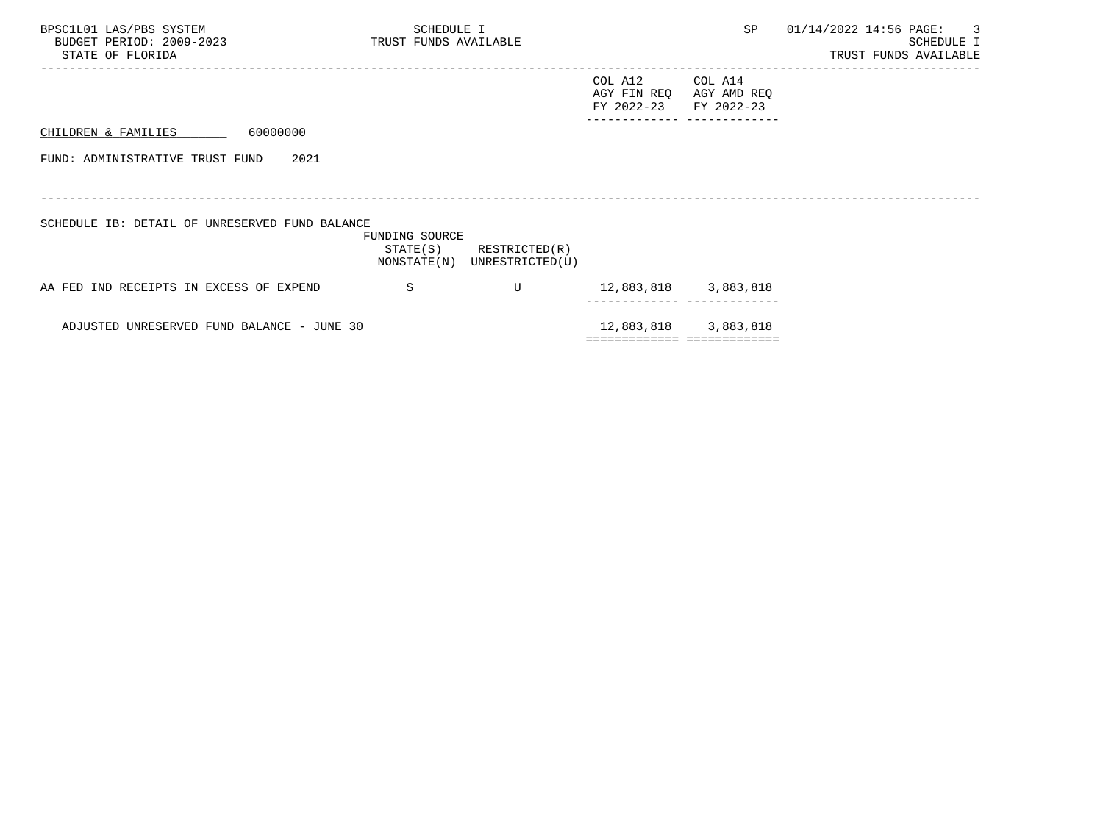| BPSC1L01 LAS/PBS SYSTEM<br>BUDGET PERIOD: 2009-2023 TRUST FUNDS AVAILABLE<br>STATE OF FLORIDA | SCHEDULE I     |                                                            |                                      | SP                                   | 01/14/2022 14:56 PAGE: | $\overline{\phantom{a}}$<br>SCHEDULE I<br>TRUST FUNDS AVAILABLE |
|-----------------------------------------------------------------------------------------------|----------------|------------------------------------------------------------|--------------------------------------|--------------------------------------|------------------------|-----------------------------------------------------------------|
|                                                                                               |                |                                                            | COL A12<br>AGY FIN REO<br>FY 2022-23 | COL A14<br>AGY AMD REQ<br>FY 2022-23 |                        |                                                                 |
| 60000000<br>CHILDREN & FAMILIES                                                               |                |                                                            |                                      |                                      |                        |                                                                 |
| FUND: ADMINISTRATIVE TRUST FUND<br>2021                                                       |                |                                                            |                                      |                                      |                        |                                                                 |
| SCHEDULE IB: DETAIL OF UNRESERVED FUND BALANCE                                                | FUNDING SOURCE | $STATE(S)$ RESTRICTED $(R)$<br>NONSTATE(N) UNRESTRICTED(U) |                                      |                                      |                        |                                                                 |
| AA FED IND RECEIPTS IN EXCESS OF EXPEND                                                       | <sub>S</sub>   | $\mathbf{U}$                                               | 12,883,818 3,883,818                 |                                      |                        |                                                                 |
| ADJUSTED UNRESERVED FUND BALANCE - JUNE 30                                                    |                |                                                            |                                      | 12,883,818 3,883,818                 |                        |                                                                 |
|                                                                                               |                |                                                            | ============================         |                                      |                        |                                                                 |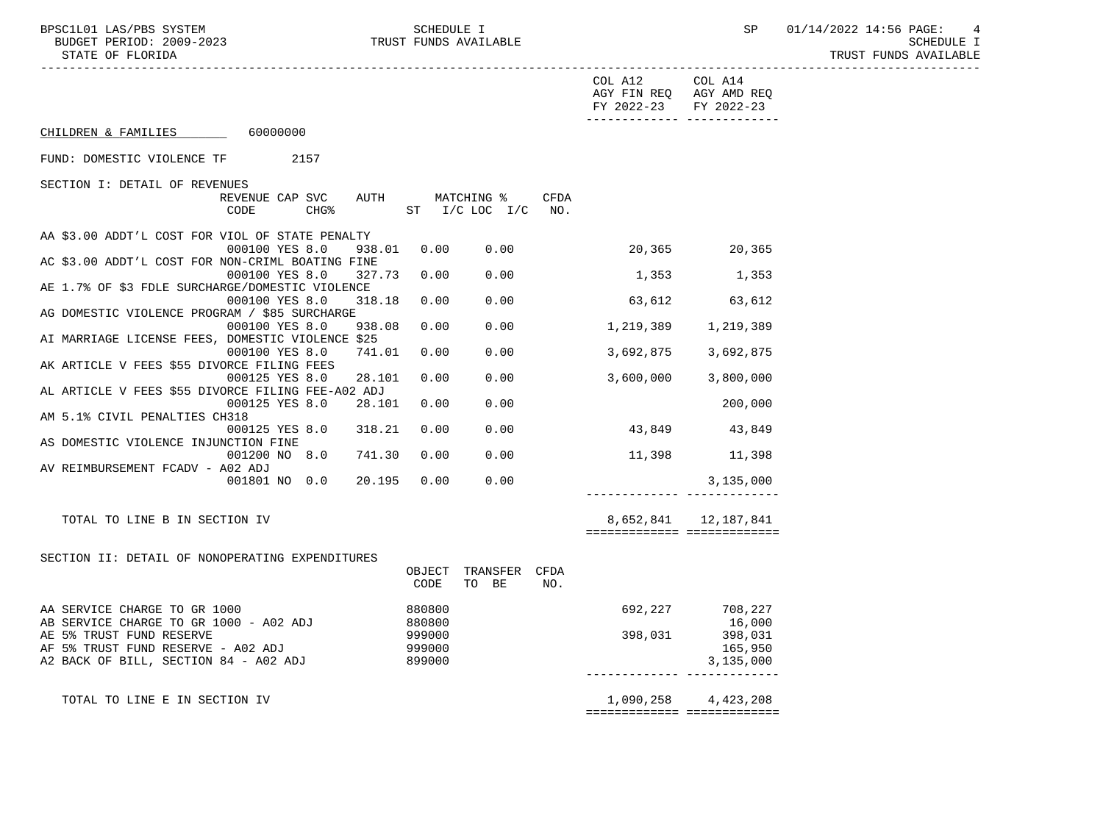BPSC1L01 LAS/PBS SYSTEM SCHEDULE I SEREDULE I SP 01/14/2022 14:56 PAGE: 4<br>BUDGET PERIOD: 2009-2023 TRUST FUNDS AVAILABLE

|                                                              |        |                    |             | COL A12<br>AGY FIN REQ AGY AMD REQ<br>FY 2022-23 FY 2022-23 | COL A14              |
|--------------------------------------------------------------|--------|--------------------|-------------|-------------------------------------------------------------|----------------------|
| CHILDREN & FAMILIES 60000000                                 |        |                    |             | -------------- --------------                               |                      |
| FUND: DOMESTIC VIOLENCE TF 2157                              |        |                    |             |                                                             |                      |
| SECTION I: DETAIL OF REVENUES                                |        |                    |             |                                                             |                      |
| REVENUE CAP SVC                                              |        | AUTH MATCHING %    | <b>CFDA</b> |                                                             |                      |
| <b>CHG%</b><br>CODE                                          |        | ST I/C LOC I/C NO. |             |                                                             |                      |
| AA \$3.00 ADDT'L COST FOR VIOL OF STATE PENALTY              |        |                    |             |                                                             |                      |
| 000100 YES 8.0<br>938.01                                     |        | 0.00 0.00          |             | 20,365 20,365                                               |                      |
| AC \$3.00 ADDT'L COST FOR NON-CRIML BOATING FINE             |        |                    |             |                                                             |                      |
| 327.73<br>000100 YES 8.0                                     | 0.00   | 0.00               |             | 1,353 1,353                                                 |                      |
| AE 1.7% OF \$3 FDLE SURCHARGE/DOMESTIC VIOLENCE              |        |                    |             |                                                             |                      |
| 318.18<br>000100 YES 8.0                                     | 0.00   | 0.00               |             | $63,612$ $63,612$                                           |                      |
| AG DOMESTIC VIOLENCE PROGRAM / \$85 SURCHARGE                |        |                    |             |                                                             |                      |
| 000100 YES 8.0<br>938.08                                     | 0.00   | 0.00               |             | 1,219,389 1,219,389                                         |                      |
| AI MARRIAGE LICENSE FEES, DOMESTIC VIOLENCE \$25             |        |                    |             |                                                             |                      |
| 000100 YES 8.0<br>741.01                                     | 0.00   | 0.00               |             |                                                             | 3,692,875 3,692,875  |
| AK ARTICLE V FEES \$55 DIVORCE FILING FEES                   |        |                    |             |                                                             |                      |
| 000125 YES 8.0<br>28.101                                     | 0.00   | 0.00               |             |                                                             | 3,600,000 3,800,000  |
| AL ARTICLE V FEES \$55 DIVORCE FILING FEE-A02 ADJ            |        |                    |             |                                                             |                      |
| 000125 YES 8.0<br>28.101                                     | 0.00   | 0.00               |             |                                                             | 200,000              |
| AM 5.1% CIVIL PENALTIES CH318                                |        |                    |             |                                                             |                      |
| 000125 YES 8.0<br>318.21                                     | 0.00   | 0.00               |             |                                                             | 43,849 43,849        |
| AS DOMESTIC VIOLENCE INJUNCTION FINE<br>001200 NO 8.0 741.30 | 0.00   | 0.00               |             | 11,398 11,398                                               |                      |
| AV REIMBURSEMENT FCADV - A02 ADJ                             |        |                    |             |                                                             |                      |
| 001801 NO 0.0 20.195                                         | 0.00   | 0.00               |             |                                                             | 3,135,000            |
|                                                              |        |                    |             |                                                             |                      |
| TOTAL TO LINE B IN SECTION IV                                |        |                    |             |                                                             | 8,652,841 12,187,841 |
|                                                              |        |                    |             | ===========================                                 |                      |
|                                                              |        |                    |             |                                                             |                      |
| SECTION II: DETAIL OF NONOPERATING EXPENDITURES              |        |                    |             |                                                             |                      |
|                                                              | OBJECT | TRANSFER CFDA      |             |                                                             |                      |
|                                                              | CODE   | TO BE              | NO.         |                                                             |                      |
| AA SERVICE CHARGE TO GR 1000                                 | 880800 |                    |             |                                                             | 692,227 708,227      |
| AB SERVICE CHARGE TO GR 1000 - A02 ADJ                       | 880800 |                    |             |                                                             | 16,000               |
| AE 5% TRUST FUND RESERVE                                     | 999000 |                    |             | 398,031                                                     | 398,031              |
| AF 5% TRUST FUND RESERVE - A02 ADJ                           | 999000 |                    |             |                                                             | 165,950              |
| 899000<br>A2 BACK OF BILL, SECTION 84 - A02 ADJ              |        |                    |             |                                                             | 3,135,000            |
|                                                              |        |                    |             |                                                             |                      |
|                                                              |        |                    |             |                                                             |                      |
| TOTAL TO LINE E IN SECTION IV                                |        |                    |             |                                                             | 1,090,258 4,423,208  |
|                                                              |        |                    |             | ============================                                |                      |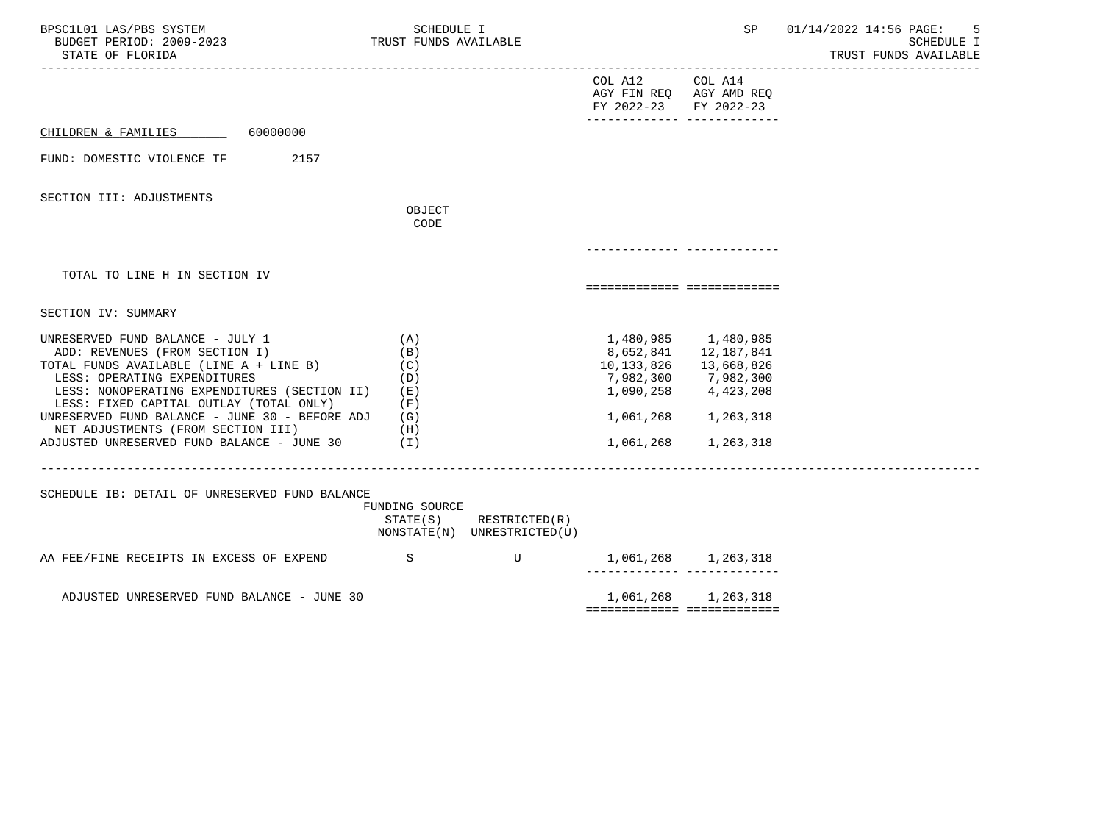| BPSC1L01 LAS/PBS SYSTEM<br>BUDGET PERIOD: 2009-2023<br>STATE OF FLORIDA                                                                                                                                                                                                                                                                                                        | SCHEDULE I<br>TRUST FUNDS AVAILABLE                              |                                              |                                                                                           | SP                                                                                                  | 01/14/2022 14:56 PAGE:<br>5<br>SCHEDULE I<br>TRUST FUNDS AVAILABLE |
|--------------------------------------------------------------------------------------------------------------------------------------------------------------------------------------------------------------------------------------------------------------------------------------------------------------------------------------------------------------------------------|------------------------------------------------------------------|----------------------------------------------|-------------------------------------------------------------------------------------------|-----------------------------------------------------------------------------------------------------|--------------------------------------------------------------------|
|                                                                                                                                                                                                                                                                                                                                                                                |                                                                  |                                              | COL A12 COL A14<br>AGY FIN REQ AGY AMD REQ<br>FY 2022-23<br>-------------- -------------- | FY 2022-23                                                                                          |                                                                    |
| 60000000<br>CHILDREN & FAMILIES                                                                                                                                                                                                                                                                                                                                                |                                                                  |                                              |                                                                                           |                                                                                                     |                                                                    |
| 2157<br>FUND: DOMESTIC VIOLENCE TF                                                                                                                                                                                                                                                                                                                                             |                                                                  |                                              |                                                                                           |                                                                                                     |                                                                    |
| SECTION III: ADJUSTMENTS                                                                                                                                                                                                                                                                                                                                                       |                                                                  |                                              |                                                                                           |                                                                                                     |                                                                    |
|                                                                                                                                                                                                                                                                                                                                                                                | OBJECT<br>CODE                                                   |                                              |                                                                                           |                                                                                                     |                                                                    |
|                                                                                                                                                                                                                                                                                                                                                                                |                                                                  |                                              |                                                                                           |                                                                                                     |                                                                    |
| TOTAL TO LINE H IN SECTION IV                                                                                                                                                                                                                                                                                                                                                  |                                                                  |                                              | ===========================                                                               |                                                                                                     |                                                                    |
| SECTION IV: SUMMARY                                                                                                                                                                                                                                                                                                                                                            |                                                                  |                                              |                                                                                           |                                                                                                     |                                                                    |
| UNRESERVED FUND BALANCE - JULY 1<br>ADD: REVENUES (FROM SECTION I)<br>TOTAL FUNDS AVAILABLE (LINE A + LINE B)<br>LESS: OPERATING EXPENDITURES<br>LESS: NONOPERATING EXPENDITURES (SECTION II)<br>LESS: FIXED CAPITAL OUTLAY (TOTAL ONLY)<br>UNRESERVED FUND BALANCE - JUNE 30 - BEFORE ADJ<br>NET ADJUSTMENTS (FROM SECTION III)<br>ADJUSTED UNRESERVED FUND BALANCE - JUNE 30 | (A)<br>(B)<br>(C)<br>(D)<br>(E)<br>(F)<br>(G)<br>(H)<br>$(\top)$ |                                              | 8,652,841<br>10,133,826<br>7,982,300<br>1,090,258<br>1,061,268<br>1,061,268               | 1,480,985 1,480,985<br>12,187,841<br>13,668,826<br>7,982,300<br>4,423,208<br>1,263,318<br>1,263,318 |                                                                    |
| SCHEDULE IB: DETAIL OF UNRESERVED FUND BALANCE                                                                                                                                                                                                                                                                                                                                 | FUNDING SOURCE<br>STATE(S)                                       | RESTRICTED(R)<br>NONSTATE(N) UNRESTRICTED(U) |                                                                                           |                                                                                                     |                                                                    |
| AA FEE/FINE RECEIPTS IN EXCESS OF EXPEND                                                                                                                                                                                                                                                                                                                                       | S                                                                | $\mathbf U$                                  |                                                                                           | 1,061,268 1,263,318                                                                                 |                                                                    |
| ADJUSTED UNRESERVED FUND BALANCE - JUNE 30                                                                                                                                                                                                                                                                                                                                     |                                                                  |                                              | ============================                                                              | 1,061,268 1,263,318                                                                                 |                                                                    |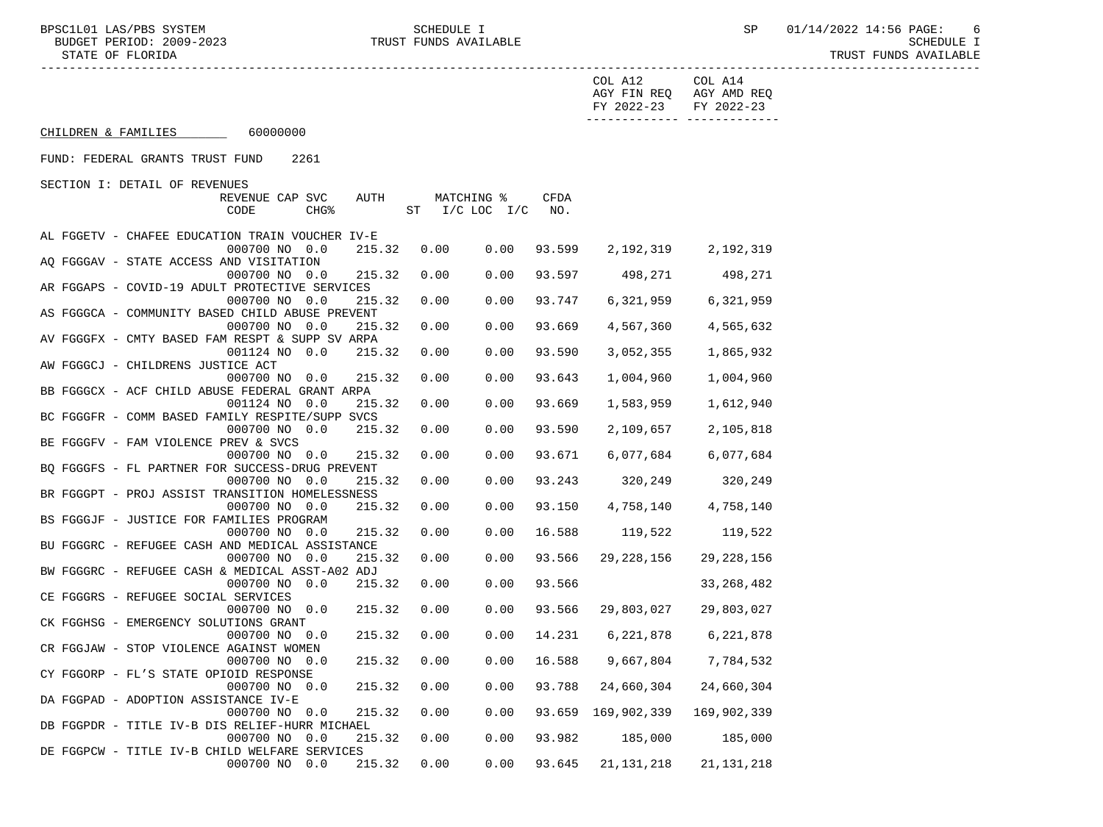|                                                 |                          |        |                    |            |        | COL A12<br>FY 2022-23                            | COL A14<br>AGY FIN REQ AGY AMD REQ<br>FY 2022-23 |  |
|-------------------------------------------------|--------------------------|--------|--------------------|------------|--------|--------------------------------------------------|--------------------------------------------------|--|
| CHILDREN & FAMILIES 60000000                    |                          |        |                    |            |        |                                                  | -------------- --------------                    |  |
| FUND: FEDERAL GRANTS TRUST FUND                 | 2261                     |        |                    |            |        |                                                  |                                                  |  |
| SECTION I: DETAIL OF REVENUES                   |                          |        |                    |            |        |                                                  |                                                  |  |
|                                                 | REVENUE CAP SVC          | AUTH   |                    | MATCHING % | CFDA   |                                                  |                                                  |  |
|                                                 | CHG <sup>8</sup><br>CODE |        | ST I/C LOC I/C NO. |            |        |                                                  |                                                  |  |
|                                                 |                          |        |                    |            |        |                                                  |                                                  |  |
| AL FGGETV - CHAFEE EDUCATION TRAIN VOUCHER IV-E |                          |        |                    |            |        |                                                  |                                                  |  |
|                                                 | 000700 NO 0.0            | 215.32 | 0.00               | 0.00       | 93.599 |                                                  | 2, 192, 319 2, 192, 319                          |  |
| AQ FGGGAV - STATE ACCESS AND VISITATION         |                          |        |                    |            |        |                                                  |                                                  |  |
|                                                 | 000700 NO 0.0            | 215.32 | 0.00               | 0.00       |        | 93.597 498,271 498,271                           |                                                  |  |
| AR FGGAPS - COVID-19 ADULT PROTECTIVE SERVICES  |                          |        |                    |            |        |                                                  |                                                  |  |
|                                                 | 000700 NO 0.0            | 215.32 | 0.00               | 0.00       | 93.747 | 6,321,959                                        | 6,321,959                                        |  |
| AS FGGGCA - COMMUNITY BASED CHILD ABUSE PREVENT |                          |        |                    |            |        |                                                  |                                                  |  |
|                                                 | 000700 NO 0.0            | 215.32 | 0.00               | 0.00       | 93.669 | 4,567,360                                        | 4,565,632                                        |  |
| AV FGGGFX - CMTY BASED FAM RESPT & SUPP SV ARPA |                          |        |                    |            |        |                                                  |                                                  |  |
|                                                 | 001124 NO 0.0            | 215.32 | 0.00               | 0.00       | 93.590 | 3,052,355                                        | 1,865,932                                        |  |
| AW FGGGCJ - CHILDRENS JUSTICE ACT               |                          |        |                    |            |        |                                                  |                                                  |  |
|                                                 | 000700 NO 0.0            | 215.32 | 0.00               | 0.00       | 93.643 | 1,004,960                                        | 1,004,960                                        |  |
| BB FGGGCX - ACF CHILD ABUSE FEDERAL GRANT ARPA  |                          |        |                    |            |        |                                                  |                                                  |  |
|                                                 | 001124 NO 0.0            | 215.32 | 0.00               | 0.00       | 93.669 | 1,583,959                                        | 1,612,940                                        |  |
| BC FGGGFR - COMM BASED FAMILY RESPITE/SUPP SVCS |                          |        |                    |            |        |                                                  |                                                  |  |
|                                                 | 000700 NO 0.0            | 215.32 | 0.00               | 0.00       | 93.590 | 2,109,657                                        | 2,105,818                                        |  |
| BE FGGGFV - FAM VIOLENCE PREV & SVCS            |                          |        |                    |            |        |                                                  |                                                  |  |
|                                                 | 000700 NO 0.0            | 215.32 | 0.00               | 0.00       | 93.671 | 6,077,684                                        | 6,077,684                                        |  |
| BQ FGGGFS - FL PARTNER FOR SUCCESS-DRUG PREVENT |                          |        |                    |            |        |                                                  |                                                  |  |
|                                                 | 000700 NO 0.0            | 215.32 | 0.00               | 0.00       | 93.243 | 320,249 320,249                                  |                                                  |  |
| BR FGGGPT - PROJ ASSIST TRANSITION HOMELESSNESS |                          |        |                    |            |        |                                                  |                                                  |  |
|                                                 | 000700 NO 0.0            | 215.32 | 0.00               | 0.00       | 93.150 | 4,758,140                                        | 4,758,140                                        |  |
| BS FGGGJF - JUSTICE FOR FAMILIES PROGRAM        |                          |        |                    |            |        |                                                  |                                                  |  |
|                                                 | 000700 NO 0.0            | 215.32 | 0.00               | 0.00       | 16.588 | 119,522                                          | 119,522                                          |  |
| BU FGGGRC - REFUGEE CASH AND MEDICAL ASSISTANCE |                          |        |                    |            |        |                                                  |                                                  |  |
|                                                 | 000700 NO 0.0            | 215.32 | 0.00               | 0.00       | 93.566 | 29,228,156                                       | 29,228,156                                       |  |
| BW FGGGRC - REFUGEE CASH & MEDICAL ASST-A02 ADJ |                          |        |                    |            |        |                                                  |                                                  |  |
|                                                 | 000700 NO 0.0            | 215.32 | 0.00               | 0.00       | 93.566 |                                                  | 33,268,482                                       |  |
| CE FGGGRS - REFUGEE SOCIAL SERVICES             |                          |        |                    |            |        |                                                  |                                                  |  |
|                                                 | 000700 NO 0.0            | 215.32 | 0.00               | 0.00       |        | 93.566 29,803,027                                | 29,803,027                                       |  |
| CK FGGHSG - EMERGENCY SOLUTIONS GRANT           |                          |        |                    |            |        |                                                  |                                                  |  |
|                                                 | 000700 NO 0.0            | 215.32 | 0.00               | 0.00       |        | 14.231 6,221,878                                 | 6,221,878                                        |  |
| CR FGGJAW - STOP VIOLENCE AGAINST WOMEN         |                          |        |                    |            |        |                                                  |                                                  |  |
|                                                 | 000700 NO 0.0            |        |                    |            |        | 215.32  0.00  0.00  16.588  9,667,804  7,784,532 |                                                  |  |
| CY FGGORP - FL'S STATE OPIOID RESPONSE          |                          |        |                    |            |        |                                                  |                                                  |  |
|                                                 | 000700 NO 0.0            | 215.32 | 0.00               | 0.00       | 93.788 | 24,660,304                                       | 24,660,304                                       |  |
| DA FGGPAD - ADOPTION ASSISTANCE IV-E            |                          |        |                    |            |        |                                                  |                                                  |  |
|                                                 | 000700 NO 0.0            | 215.32 | 0.00               | 0.00       |        | 93.659 169,902,339                               | 169,902,339                                      |  |
| DB FGGPDR - TITLE IV-B DIS RELIEF-HURR MICHAEL  |                          |        |                    |            |        |                                                  |                                                  |  |
|                                                 | 000700 NO 0.0            | 215.32 | 0.00               | 0.00       | 93.982 | 185,000                                          | 185,000                                          |  |
| DE FGGPCW - TITLE IV-B CHILD WELFARE SERVICES   |                          |        |                    |            |        |                                                  |                                                  |  |
|                                                 |                          |        |                    |            | 93.645 | 21,131,218                                       | 21,131,218                                       |  |
|                                                 | 000700 NO 0.0            | 215.32 | 0.00               | 0.00       |        |                                                  |                                                  |  |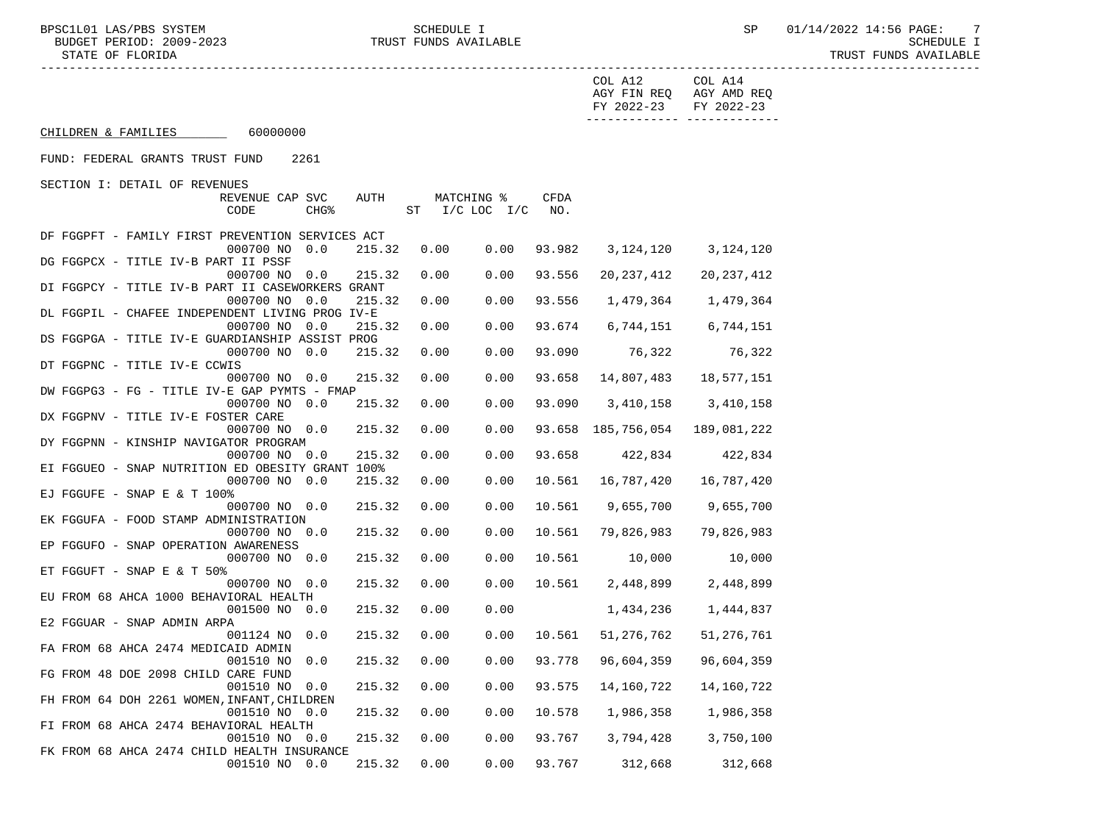|                                                        |        |      |                    |        | COL A12<br>FY 2022-23               | COL A14<br>AGY FIN REQ AGY AMD REQ<br>FY 2022-23 |  |
|--------------------------------------------------------|--------|------|--------------------|--------|-------------------------------------|--------------------------------------------------|--|
| CHILDREN & FAMILIES 60000000                           |        |      |                    |        |                                     |                                                  |  |
| FUND: FEDERAL GRANTS TRUST FUND<br>2261                |        |      |                    |        |                                     |                                                  |  |
| SECTION I: DETAIL OF REVENUES                          |        |      |                    |        |                                     |                                                  |  |
| REVENUE CAP SVC                                        | AUTH   |      | MATCHING %         | CFDA   |                                     |                                                  |  |
| CHG <sup>8</sup><br>CODE                               |        |      | ST I/C LOC I/C NO. |        |                                     |                                                  |  |
| DF FGGPFT - FAMILY FIRST PREVENTION SERVICES ACT       |        |      |                    |        |                                     |                                                  |  |
| 000700 NO 0.0                                          | 215.32 | 0.00 | 0.00               | 93.982 |                                     | 3, 124, 120 3, 124, 120                          |  |
| DG FGGPCX - TITLE IV-B PART II PSSF                    |        |      |                    |        |                                     |                                                  |  |
| 000700 NO 0.0                                          | 215.32 | 0.00 | 0.00               | 93.556 | 20,237,412                          | 20,237,412                                       |  |
| DI FGGPCY - TITLE IV-B PART II CASEWORKERS GRANT       |        |      |                    |        |                                     |                                                  |  |
| 000700 NO 0.0                                          | 215.32 | 0.00 | 0.00               | 93.556 | 1,479,364                           | 1,479,364                                        |  |
| DL FGGPIL - CHAFEE INDEPENDENT LIVING PROG IV-E        |        |      |                    |        |                                     |                                                  |  |
| 000700 NO 0.0                                          | 215.32 | 0.00 | 0.00               | 93.674 |                                     | 6,744,151 6,744,151                              |  |
| DS FGGPGA - TITLE IV-E GUARDIANSHIP ASSIST PROG        |        |      |                    |        |                                     |                                                  |  |
| 000700 NO 0.0                                          | 215.32 | 0.00 | 0.00               | 93.090 | 76,322                              | 76,322                                           |  |
| DT FGGPNC - TITLE IV-E CCWIS                           |        |      |                    |        |                                     |                                                  |  |
| 000700 NO 0.0                                          | 215.32 | 0.00 | 0.00               | 93.658 | 14,807,483                          | 18,577,151                                       |  |
| DW FGGPG3 - FG - TITLE IV-E GAP PYMTS - FMAP           |        |      |                    |        |                                     |                                                  |  |
| 000700 NO 0.0                                          | 215.32 | 0.00 | 0.00               | 93.090 |                                     | 3,410,158 3,410,158                              |  |
| DX FGGPNV - TITLE IV-E FOSTER CARE                     |        |      |                    |        |                                     |                                                  |  |
| 000700 NO 0.0<br>DY FGGPNN - KINSHIP NAVIGATOR PROGRAM | 215.32 | 0.00 | 0.00               |        | 93.658 185,756,054 189,081,222      |                                                  |  |
| 000700 NO 0.0                                          | 215.32 | 0.00 | 0.00               |        | 93.658 422,834 422,834              |                                                  |  |
| EI FGGUEO - SNAP NUTRITION ED OBESITY GRANT 100%       |        |      |                    |        |                                     |                                                  |  |
| 000700 NO 0.0                                          | 215.32 | 0.00 | 0.00               |        | 10.561  16,787,420                  | 16,787,420                                       |  |
| EJ FGGUFE - SNAP E & T 100%                            |        |      |                    |        |                                     |                                                  |  |
| 000700 NO 0.0                                          | 215.32 | 0.00 | 0.00               |        | 10.561 9,655,700                    | 9,655,700                                        |  |
| EK FGGUFA - FOOD STAMP ADMINISTRATION                  |        |      |                    |        |                                     |                                                  |  |
| 000700 NO 0.0                                          | 215.32 | 0.00 | 0.00               |        | 10.561 79,826,983                   | 79,826,983                                       |  |
| EP FGGUFO - SNAP OPERATION AWARENESS                   |        |      |                    |        |                                     |                                                  |  |
| 000700 NO 0.0                                          | 215.32 | 0.00 | 0.00               | 10.561 | 10,000                              | 10,000                                           |  |
| ET FGGUFT - SNAP E & T $50\%$                          |        |      |                    |        |                                     |                                                  |  |
| 000700 NO 0.0                                          | 215.32 | 0.00 | 0.00               | 10.561 | 2,448,899                           | 2,448,899                                        |  |
| EU FROM 68 AHCA 1000 BEHAVIORAL HEALTH                 |        |      |                    |        |                                     |                                                  |  |
| 001500 NO 0.0                                          | 215.32 | 0.00 | 0.00               |        | 1,434,236                           | 1,444,837                                        |  |
| E2 FGGUAR - SNAP ADMIN ARPA                            |        |      |                    |        |                                     |                                                  |  |
| 001124 NO 0.0                                          | 215.32 | 0.00 |                    |        | $0.00$ $10.561$ $51,276,762$        | 51,276,761                                       |  |
| FA FROM 68 AHCA 2474 MEDICAID ADMIN                    |        |      |                    |        |                                     |                                                  |  |
| 001510 NO 0.0 215.32 0.00                              |        |      |                    |        | $0.00$ 93.778 96,604,359 96,604,359 |                                                  |  |
| FG FROM 48 DOE 2098 CHILD CARE FUND                    |        |      |                    |        |                                     |                                                  |  |
| 001510 NO 0.0                                          | 215.32 | 0.00 | 0.00               | 93.575 | 14,160,722                          | 14,160,722                                       |  |
| FH FROM 64 DOH 2261 WOMEN, INFANT, CHILDREN            |        |      |                    |        |                                     |                                                  |  |
| 001510 NO 0.0                                          | 215.32 | 0.00 | 0.00               | 10.578 | 1,986,358                           | 1,986,358                                        |  |
| FI FROM 68 AHCA 2474 BEHAVIORAL HEALTH                 |        |      |                    |        |                                     |                                                  |  |
| 001510 NO 0.0                                          | 215.32 | 0.00 | 0.00               | 93.767 | 3,794,428                           | 3,750,100                                        |  |
| FK FROM 68 AHCA 2474 CHILD HEALTH INSURANCE            |        |      |                    |        |                                     |                                                  |  |
| 001510 NO 0.0                                          | 215.32 | 0.00 | 0.00               | 93.767 | 312,668                             | 312,668                                          |  |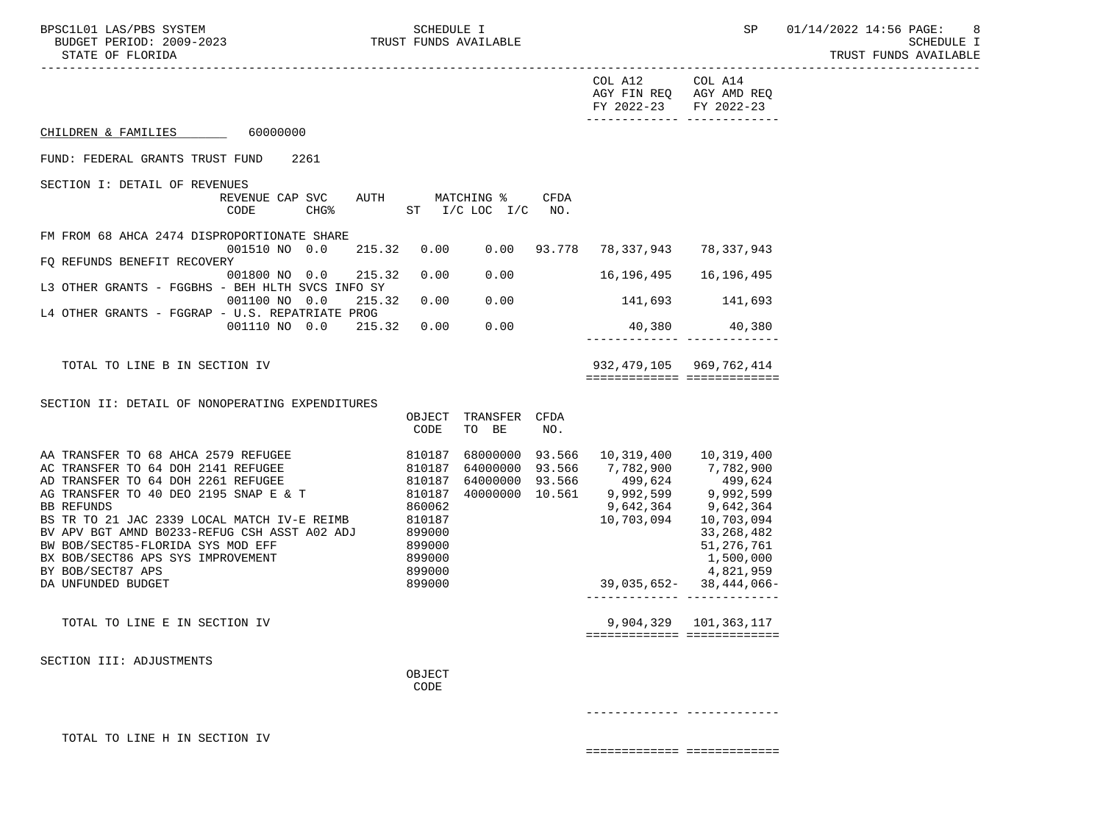----------------------------------------------------------------------------------------------------------------------------------- COL A12 COL A14 AGY FIN REQ AGY AMD REQ FY 2022-23 FY 2022-23 ------------- ------------- CHILDREN & FAMILIES 60000000 FUND: FEDERAL GRANTS TRUST FUND 2261 SECTION I: DETAIL OF REVENUES REVENUE CAP SVC AUTH MATCHING % CFDA CODE CHG<sup>&</sup> ST I/C LOC I/C NO. FM FROM 68 AHCA 2474 DISPROPORTIONATE SHARE 001510 NO 0.0 215.32 0.00 0.00 93.778 78,337,943 78,337,943 FQ REFUNDS BENEFIT RECOVERY 001800 NO 0.0 215.32 0.00 0.00 16,196,495 16,196,495 L3 OTHER GRANTS - FGGBHS - BEH HLTH SVCS INFO SY 001100 NO 0.0 215.32 0.00 0.00 141,693 141,693 L4 OTHER GRANTS - FGGRAP - U.S. REPATRIATE PROG 001110 NO 0.0 215.32 0.00 0.00 40,380 40,380 ------------- ------------- TOTAL TO LINE B IN SECTION IV 932,479,105 969,762,414 ============= ============= SECTION II: DETAIL OF NONOPERATING EXPENDITURES OBJECT TRANSFER CFDA CODE TO BE NO. AA TRANSFER TO 68 AHCA 2579 REFUGEE 810187 68000000 93.566 10,319,400 10,319,400 AC TRANSFER TO 64 DOH 2141 REFUGEE 810187 64000000 93.566 7,782,900 7,782,900 AD TRANSFER TO 64 DOH 2261 REFUGEE 810187 64000000 93.566 499,624 499,624 AG TRANSFER TO 40 DEO 2195 SNAP E & T  $\begin{array}{@{}c@{\thinspace}c@{\thinspace}c@{\thinspace}c@{\thinspace}c@{\thinspace}c@{\thinspace}c@{\thinspace}c@{\thinspace}c@{\thinspace}c@{\thinspace}c@{\thinspace}c@{\thinspace}c@{\thinspace}c@{\thinspace}c@{\thinspace}c@{\thinspace}c@{\thinspace}c@{\thinspace}c@{\thinspace}c@{\thinspace}c@{\thinspace}c@{\thinspace}c@{\thinspace}c@{\thinspace}c@{\thinspace}c@{\thinspace}c@{\thinspace}c@{\thinspace}c@{\thinspace}c@$  BB REFUNDS 860062 9,642,364 9,642,364 BS TR TO 21 JAC 2339 LOCAL MATCH IV-E REIMB 810187 10,703,094 10,703,094 10,703,094<br>BV APV BGT AMND B0233-REFUG CSH ASST A02 ADJ 899000 833.268.482 BV APV BGT AMND B0233-REFUG CSH ASST A02 ADJ 899000 889000 33,268,482<br>BW BOB/SECT85-FLORIDA SYS MOD EFF 899000 8899000 8899000 51.276.761 BW BOB/SECT85-FLORIDA SYS MOD EFF 399000 BX BOB/SECT86 APS SYS IMPROVEMENT 899000 80000 8000 8000 1,500,000 BY BOB/SECT87 APS 4,821,959 DA UNFUNDED BUDGET 899000 39,035,652- 38,444,066- ------------- ------------- TOTAL TO LINE E IN SECTION IV 8 (1999) 101,363,117 ============= ============= SECTION III: ADJUSTMENTS **OBJECT CODE** 

------------- -------------

TOTAL TO LINE H IN SECTION IV

============= =============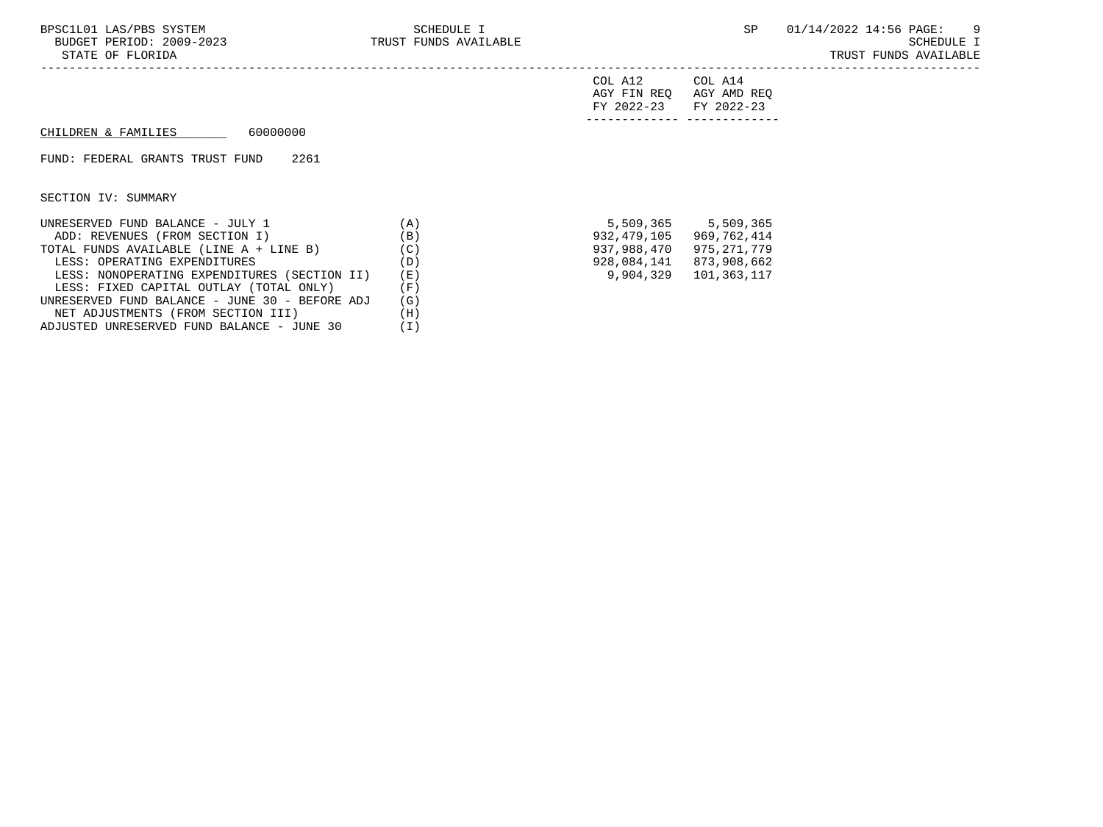-----------------------------------------------------------------------------------------------------------------------------------

| FY 2022-23 FY 2022-23 |                         |
|-----------------------|-------------------------|
|                       | AGY FIN REQ AGY AMD REQ |
| COL A12               | COL A14                 |

## $CHILDREN & FAMILIES$  60000000

## FUND: FEDERAL GRANTS TRUST FUND 2261

SECTION IV: SUMMARY

| UNRESERVED FUND BALANCE - JULY 1               | (A) |             | 5,509,365 5,509,365 |
|------------------------------------------------|-----|-------------|---------------------|
| ADD: REVENUES (FROM SECTION I)                 | (B) | 932,479,105 | 969.762.414         |
| TOTAL FUNDS AVAILABLE (LINE A + LINE B)        | (C) | 937,988,470 | 975,271,779         |
| LESS: OPERATING EXPENDITURES                   | (D) | 928,084,141 | 873,908,662         |
| LESS: NONOPERATING EXPENDITURES (SECTION II)   | (E) | 9,904,329   | 101,363,117         |
| LESS: FIXED CAPITAL OUTLAY (TOTAL ONLY)        | (F) |             |                     |
| UNRESERVED FUND BALANCE - JUNE 30 - BEFORE ADJ | (G) |             |                     |
| NET ADJUSTMENTS (FROM SECTION III)             | (H) |             |                     |
| ADJUSTED UNRESERVED FUND BALANCE - JUNE 30     |     |             |                     |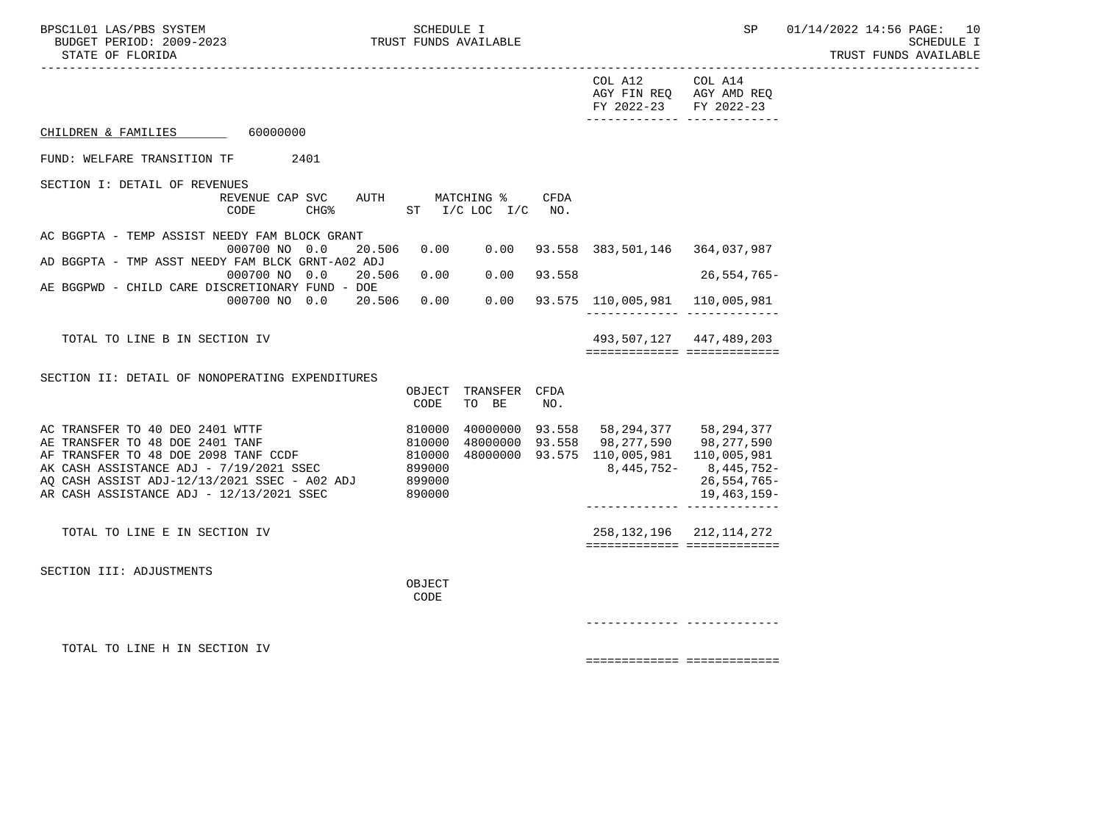----------------------------------------------------------------------------------------------------------------------------------- COL A12 COL A14 AGY FIN REQ AGY AMD REQ FY 2022-23 FY 2022-23 ------------- ------------- CHILDREN & FAMILIES 60000000 FUND: WELFARE TRANSITION TF 2401 SECTION I: DETAIL OF REVENUES REVENUE CAP SVC AUTH MATCHING % CFDA CODE CHG<sup>&</sup> ST I/C LOC I/C NO. AC BGGPTA - TEMP ASSIST NEEDY FAM BLOCK GRANT 000700 NO 0.0 20.506 0.00 0.00 93.558 383,501,146 364,037,987 AD BGGPTA - TMP ASST NEEDY FAM BLCK GRNT-A02 ADJ 000700 NO 0.0 20.506 0.00 0.00 93.558 26,554,765- AE BGGPWD - CHILD CARE DISCRETIONARY FUND - DOE 000700 NO 0.0 20.506 0.00 0.00 93.575 110,005,981 110,005,981 ------------- ------------- TOTAL TO LINE B IN SECTION IV 493,507,127 447,489,203 ============= ============= SECTION II: DETAIL OF NONOPERATING EXPENDITURES OBJECT TRANSFER CFDA CODE TO BE NO. AC TRANSFER TO 40 DEO 2401 WTTF  $\begin{array}{cccc} 810000 & 4000000 & 93.558 & 58,294,377 & 58,294,377 \\ \text{AE TRANSFER TO 48 DOE 2401 TANF} & & & & & 810000 & 48000000 & 93.558 & 98.277.590 & 98.277.590 \end{array}$ AE TRANSFER TO 48 DOE 2401 TANF 810000 48000000 93.558 98,277,590 98,277,590<br>AF TRANSFER TO 48 DOE 2098 TANF CCDF 810000 48000000 93.575 110,005,981 110,005,981 AF TRANSFER TO 48 DOE 2098 TANF CCDF 810000 48000000 93.575 110,005,981 110,005,981 AK CASH ASSISTANCE ADJ - 7/19/2021 SSEC 899000 8,445,752- 8,445,752- 8,445,752-AK CASH ASSISTANCE ADJ - 7/19/2021 SSEC 899000 8,445,752- 8,445,752- 8,445,752-<br>AQ CASH ASSIST ADJ-12/13/2021 SSEC - A02 ADJ 899000 26,554,765-AR CASH ASSISTANCE ADJ - 12/13/2021 SSEC 890000 19,463,159- ------------- ------------- TOTAL TO LINE E IN SECTION IV 258,132,196 212,114,272 ============= ============= SECTION III: ADJUSTMENTS **OBJECT CODE**  ------------- ------------- TOTAL TO LINE H IN SECTION IV

============= =============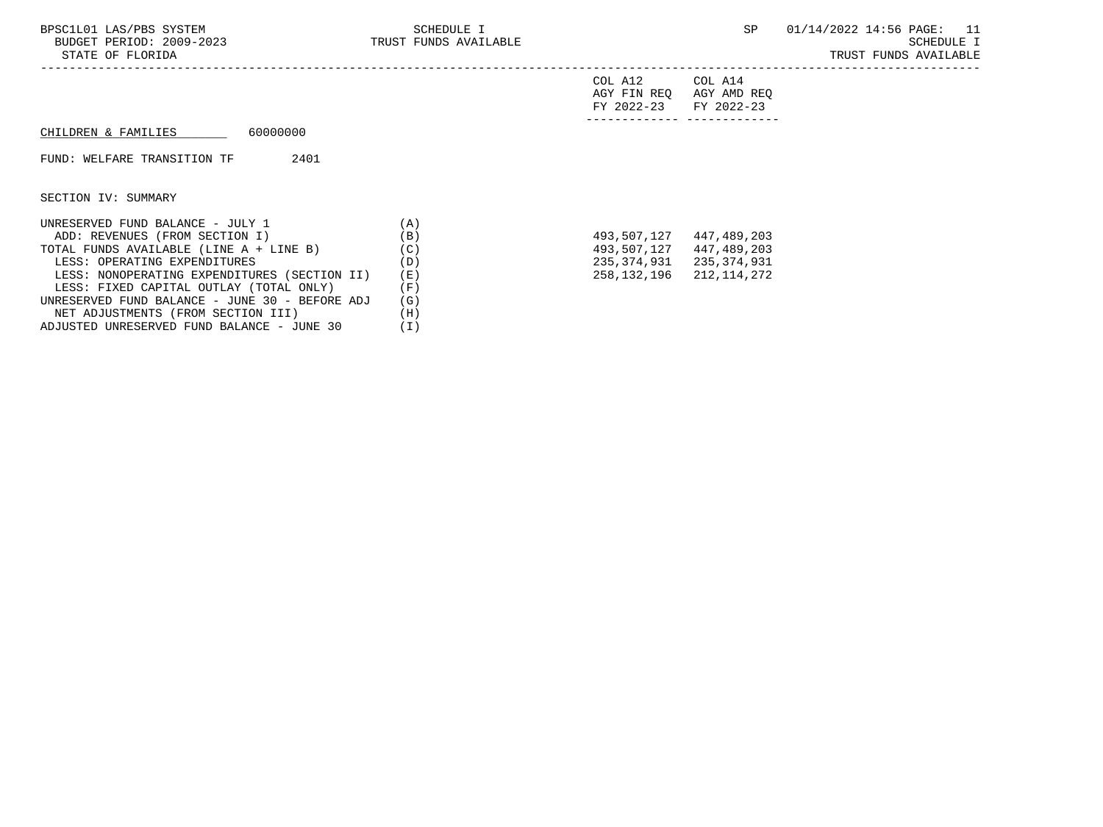| FY 2022-23 FY 2022-23 |                         |
|-----------------------|-------------------------|
|                       | AGY FIN REQ AGY AMD REQ |
| COL A12               | COL A14                 |

## $CHILDREN & FAMILIES$  60000000

## FUND: WELFARE TRANSITION TF 2401

SECTION IV: SUMMARY

| UNRESERVED FUND BALANCE - JULY 1               | (A) |             |             |
|------------------------------------------------|-----|-------------|-------------|
| ADD: REVENUES (FROM SECTION I)                 | (B) | 493,507,127 | 447,489,203 |
| TOTAL FUNDS AVAILABLE (LINE A + LINE B)        | (C) | 493,507,127 | 447,489,203 |
| LESS: OPERATING EXPENDITURES                   | (D) | 235,374,931 | 235,374,931 |
| LESS: NONOPERATING EXPENDITURES (SECTION II)   | (E) | 258,132,196 | 212,114,272 |
| LESS: FIXED CAPITAL OUTLAY (TOTAL ONLY)        | (F) |             |             |
| UNRESERVED FUND BALANCE - JUNE 30 - BEFORE ADJ | (G) |             |             |
| NET ADJUSTMENTS (FROM SECTION III)             | (H) |             |             |
| ADJUSTED UNRESERVED FUND BALANCE - JUNE 30     | (I) |             |             |

| 493,507,127 | 447,489,203 |
|-------------|-------------|
| 493,507,127 | 447,489,203 |
| 235,374,931 | 235,374,931 |
| 258,132,196 | 212,114,272 |